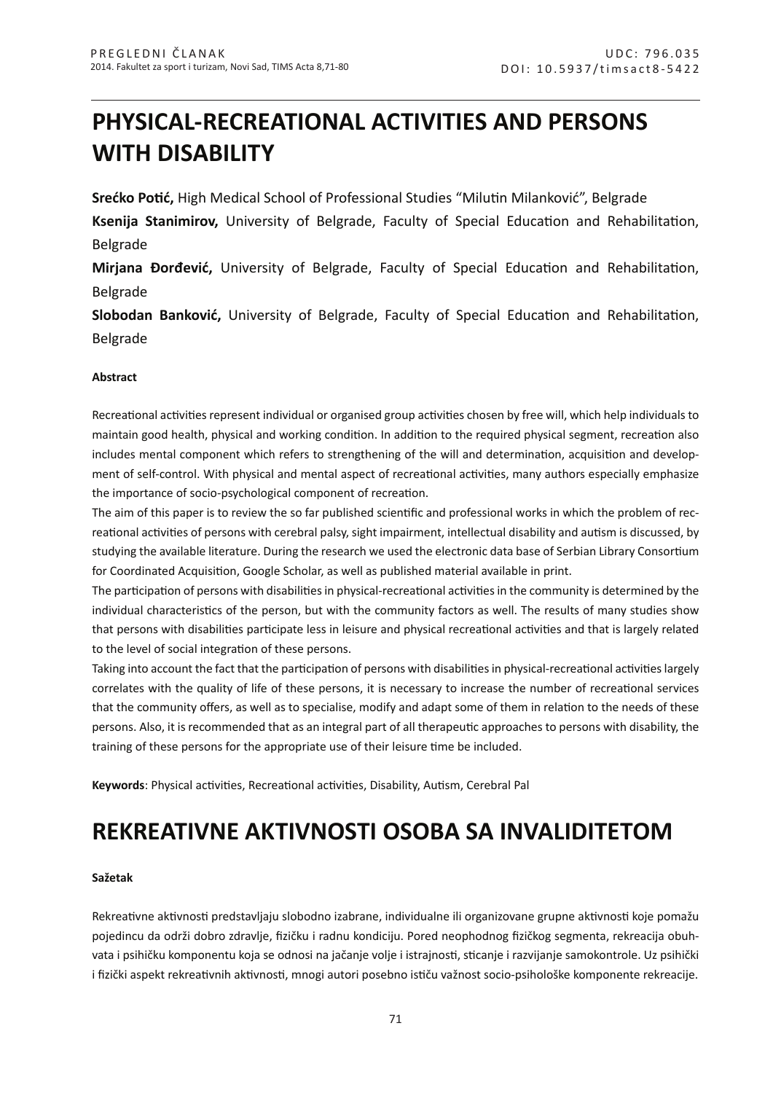# **PHYSICAL-RECREATIONAL ACTIVITIES AND PERSONS WITH DISABILITY**

**Srećko Potić,** High Medical School of Professional Studies "Milutin Milanković", Belgrade

**Ksenija Stanimirov,** University of Belgrade, Faculty of Special Education and Rehabilitation, Belgrade

**Mirjana Đorđević,** University of Belgrade, Faculty of Special Education and Rehabilitation, Belgrade

**Slobodan Banković,** University of Belgrade, Faculty of Special Education and Rehabilitation, Belgrade

## **Abstract**

Recreational activities represent individual or organised group activities chosen by free will, which help individuals to maintain good health, physical and working condition. In addition to the required physical segment, recreation also includes mental component which refers to strengthening of the will and determination, acquisition and development of self-control. With physical and mental aspect of recreational activities, many authors especially emphasize the importance of socio-psychological component of recreation.

The aim of this paper is to review the so far published scientific and professional works in which the problem of recreational activities of persons with cerebral palsy, sight impairment, intellectual disability and autism is discussed, by studying the available literature. During the research we used the electronic data base of Serbian Library Consortium for Coordinated Acquisition, Google Scholar, as well as published material available in print.

The participation of persons with disabilities in physical-recreational activities in the community is determined by the individual characteristics of the person, but with the community factors as well. The results of many studies show that persons with disabilities participate less in leisure and physical recreational activities and that is largely related to the level of social integration of these persons.

Taking into account the fact that the participation of persons with disabilities in physical-recreational activities largely correlates with the quality of life of these persons, it is necessary to increase the number of recreational services that the community offers, as well as to specialise, modify and adapt some of them in relation to the needs of these persons. Also, it is recommended that as an integral part of all therapeutic approaches to persons with disability, the training of these persons for the appropriate use of their leisure time be included.

**Keywords**: Physical activities, Recreational activities, Disability, Autism, Cerebral Pal

## **REKREATIVNE AKTIVNOSTI OSOBA SA INVALIDITETOM**

### **Sažetak**

Rekreativne aktivnosti predstavljaju slobodno izabrane, individualne ili organizovane grupne aktivnosti koje pomažu pojedincu da održi dobro zdravlje, fizičku i radnu kondiciju. Pored neophodnog fizičkog segmenta, rekreacija obuhvata i psihičku komponentu koja se odnosi na jačanje volje i istrajnosti, sticanje i razvijanje samokontrole. Uz psihički i fizički aspekt rekreativnih aktivnosti, mnogi autori posebno ističu važnost socio-psihološke komponente rekreacije.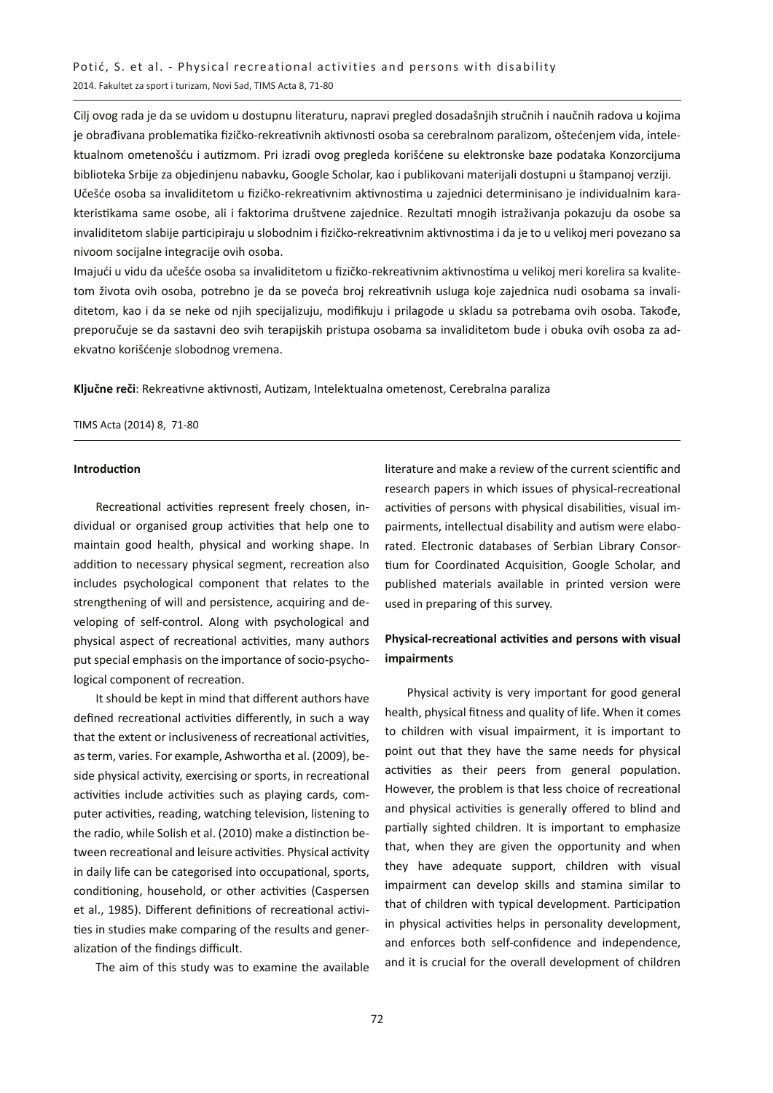Cilj ovog rada je da se uvidom u dostupnu literaturu, napravi pregled dosadašnjih stručnih i naučnih radova u kojima je obrađivana problematika fizičko-rekreativnih aktivnosti osoba sa cerebralnom paralizom, oštećenjem vida, intelektualnom ometenošću i autizmom. Pri izradi ovog pregleda korišćene su elektronske baze podataka Konzorcijuma biblioteka Srbije za objedinjenu nabavku, Google Scholar, kao i publikovani materijali dostupni u štampanoj verziji. Učešće osoba sa invaliditetom u fizičko-rekreativnim aktivnostima u zajednici determinisano je individualnim karakteristikama same osobe, ali i faktorima društvene zajednice. Rezultati mnogih istraživanja pokazuju da osobe sa invaliditetom slabije participiraju u slobodnim i fizičko-rekreativnim aktivnostima i da je to u velikoj meri povezano sa nivoom socijalne integracije ovih osoba.

Imajući u vidu da učešće osoba sa invaliditetom u fizičko-rekreativnim aktivnostima u velikoj meri korelira sa kvalitetom života ovih osoba, potrebno je da se poveća broj rekreativnih usluga koje zajednica nudi osobama sa invaliditetom, kao i da se neke od njih specijalizuju, modifikuju i prilagode u skladu sa potrebama ovih osoba. Takođe, preporučuje se da sastavni deo svih terapijskih pristupa osobama sa invaliditetom bude i obuka ovih osoba za adekvatno korišćenje slobodnog vremena.

**Ključne reči**: Rekreativne aktivnosti, Autizam, Intelektualna ometenost, Cerebralna paraliza

#### TIMS Acta (2014) 8, 71-80

#### **Introduction**

Recreational activities represent freely chosen, individual or organised group activities that help one to maintain good health, physical and working shape. In addition to necessary physical segment, recreation also includes psychological component that relates to the strengthening of will and persistence, acquiring and developing of self-control. Along with psychological and physical aspect of recreational activities, many authors put special emphasis on the importance of socio-psychological component of recreation.

It should be kept in mind that different authors have defined recreational activities differently, in such a way that the extent or inclusiveness of recreational activities, as term, varies. For example, Ashwortha et al. (2009), beside physical activity, exercising or sports, in recreational activities include activities such as playing cards, computer activities, reading, watching television, listening to the radio, while Solish et al. (2010) make a distinction between recreational and leisure activities. Physical activity in daily life can be categorised into occupational, sports, conditioning, household, or other activities (Caspersen et al., 1985). Different definitions of recreational activities in studies make comparing of the results and generalization of the findings difficult.

The aim of this study was to examine the available

literature and make a review of the current scientific and research papers in which issues of physical-recreational activities of persons with physical disabilities, visual impairments, intellectual disability and autism were elaborated. Electronic databases of Serbian Library Consortium for Coordinated Acquisition, Google Scholar, and published materials available in printed version were used in preparing of this survey.

## **Physical-recreational activities and persons with visual impairments**

Physical activity is very important for good general health, physical fitness and quality of life. When it comes to children with visual impairment, it is important to point out that they have the same needs for physical activities as their peers from general population. However, the problem is that less choice of recreational and physical activities is generally offered to blind and partially sighted children. It is important to emphasize that, when they are given the opportunity and when they have adequate support, children with visual impairment can develop skills and stamina similar to that of children with typical development. Participation in physical activities helps in personality development, and enforces both self-confidence and independence, and it is crucial for the overall development of children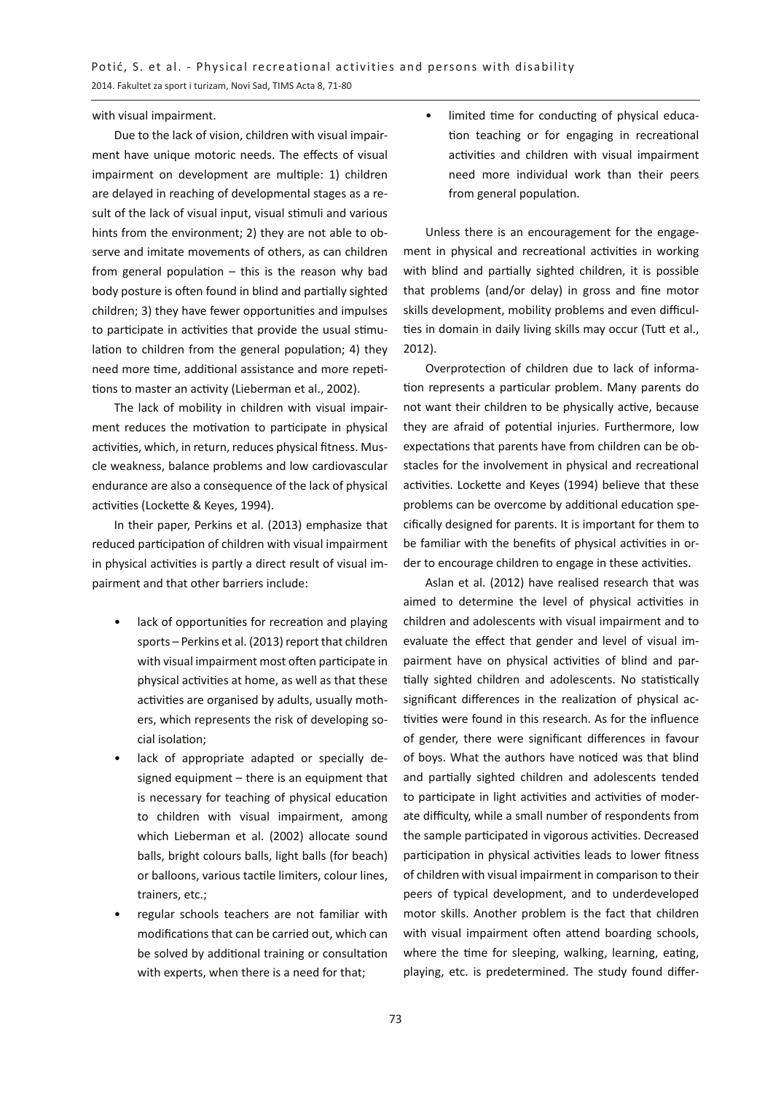with visual impairment.

Due to the lack of vision, children with visual impairment have unique motoric needs. The effects of visual impairment on development are multiple: 1) children are delayed in reaching of developmental stages as a result of the lack of visual input, visual stimuli and various hints from the environment; 2) they are not able to observe and imitate movements of others, as can children from general population – this is the reason why bad body posture is often found in blind and partially sighted children; 3) they have fewer opportunities and impulses to participate in activities that provide the usual stimulation to children from the general population; 4) they need more time, additional assistance and more repetitions to master an activity (Lieberman et al., 2002).

The lack of mobility in children with visual impairment reduces the motivation to participate in physical activities, which, in return, reduces physical fitness. Muscle weakness, balance problems and low cardiovascular endurance are also a consequence of the lack of physical activities (Lockette & Keyes, 1994).

In their paper, Perkins et al. (2013) emphasize that reduced participation of children with visual impairment in physical activities is partly a direct result of visual impairment and that other barriers include:

- lack of opportunities for recreation and playing sports – Perkins et al. (2013) report that children with visual impairment most often participate in physical activities at home, as well as that these activities are organised by adults, usually mothers, which represents the risk of developing social isolation;
- lack of appropriate adapted or specially designed equipment – there is an equipment that is necessary for teaching of physical education to children with visual impairment, among which Lieberman et al. (2002) allocate sound balls, bright colours balls, light balls (for beach) or balloons, various tactile limiters, colour lines, trainers, etc.;
- regular schools teachers are not familiar with modifications that can be carried out, which can be solved by additional training or consultation with experts, when there is a need for that;

limited time for conducting of physical education teaching or for engaging in recreational activities and children with visual impairment need more individual work than their peers from general population.

Unless there is an encouragement for the engagement in physical and recreational activities in working with blind and partially sighted children, it is possible that problems (and/or delay) in gross and fine motor skills development, mobility problems and even difficulties in domain in daily living skills may occur (Tutt et al., 2012).

Overprotection of children due to lack of information represents a particular problem. Many parents do not want their children to be physically active, because they are afraid of potential injuries. Furthermore, low expectations that parents have from children can be obstacles for the involvement in physical and recreational activities. Lockette and Keyes (1994) believe that these problems can be overcome by additional education specifically designed for parents. It is important for them to be familiar with the benefits of physical activities in order to encourage children to engage in these activities.

Aslan et al. (2012) have realised research that was aimed to determine the level of physical activities in children and adolescents with visual impairment and to evaluate the effect that gender and level of visual impairment have on physical activities of blind and partially sighted children and adolescents. No statistically significant differences in the realization of physical activities were found in this research. As for the influence of gender, there were significant differences in favour of boys. What the authors have noticed was that blind and partially sighted children and adolescents tended to participate in light activities and activities of moderate difficulty, while a small number of respondents from the sample participated in vigorous activities. Decreased participation in physical activities leads to lower fitness of children with visual impairment in comparison to their peers of typical development, and to underdeveloped motor skills. Another problem is the fact that children with visual impairment often attend boarding schools, where the time for sleeping, walking, learning, eating, playing, etc. is predetermined. The study found differ-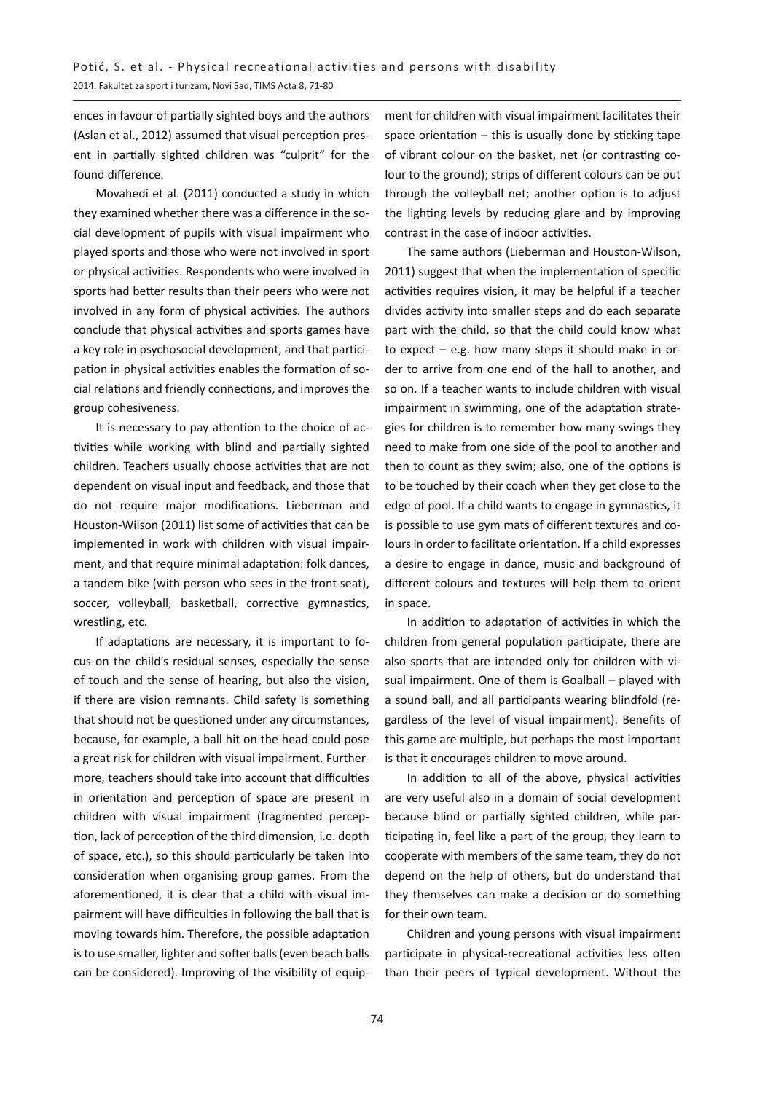ences in favour of partially sighted boys and the authors (Aslan et al., 2012) assumed that visual perception present in partially sighted children was "culprit" for the found difference.

Movahedi et al. (2011) conducted a study in which they examined whether there was a difference in the social development of pupils with visual impairment who played sports and those who were not involved in sport or physical activities. Respondents who were involved in sports had better results than their peers who were not involved in any form of physical activities. The authors conclude that physical activities and sports games have a key role in psychosocial development, and that participation in physical activities enables the formation of social relations and friendly connections, and improves the group cohesiveness.

It is necessary to pay attention to the choice of activities while working with blind and partially sighted children. Teachers usually choose activities that are not dependent on visual input and feedback, and those that do not require major modifications. Lieberman and Houston-Wilson (2011) list some of activities that can be implemented in work with children with visual impairment, and that require minimal adaptation: folk dances, a tandem bike (with person who sees in the front seat), soccer, volleyball, basketball, corrective gymnastics, wrestling, etc.

If adaptations are necessary, it is important to focus on the child's residual senses, especially the sense of touch and the sense of hearing, but also the vision, if there are vision remnants. Child safety is something that should not be questioned under any circumstances, because, for example, a ball hit on the head could pose a great risk for children with visual impairment. Furthermore, teachers should take into account that difficulties in orientation and perception of space are present in children with visual impairment (fragmented perception, lack of perception of the third dimension, i.e. depth of space, etc.), so this should particularly be taken into consideration when organising group games. From the aforementioned, it is clear that a child with visual impairment will have difficulties in following the ball that is moving towards him. Therefore, the possible adaptation is to use smaller, lighter and softer balls (even beach balls can be considered). Improving of the visibility of equip-

ment for children with visual impairment facilitates their space orientation  $-$  this is usually done by sticking tape of vibrant colour on the basket, net (or contrasting colour to the ground); strips of different colours can be put through the volleyball net; another option is to adjust the lighting levels by reducing glare and by improving contrast in the case of indoor activities.

The same authors (Lieberman and Houston-Wilson, 2011) suggest that when the implementation of specific activities requires vision, it may be helpful if a teacher divides activity into smaller steps and do each separate part with the child, so that the child could know what to expect – e.g. how many steps it should make in order to arrive from one end of the hall to another, and so on. If a teacher wants to include children with visual impairment in swimming, one of the adaptation strategies for children is to remember how many swings they need to make from one side of the pool to another and then to count as they swim; also, one of the options is to be touched by their coach when they get close to the edge of pool. If a child wants to engage in gymnastics, it is possible to use gym mats of different textures and colours in order to facilitate orientation. If a child expresses a desire to engage in dance, music and background of different colours and textures will help them to orient in space.

In addition to adaptation of activities in which the children from general population participate, there are also sports that are intended only for children with visual impairment. One of them is Goalball – played with a sound ball, and all participants wearing blindfold (regardless of the level of visual impairment). Benefits of this game are multiple, but perhaps the most important is that it encourages children to move around.

In addition to all of the above, physical activities are very useful also in a domain of social development because blind or partially sighted children, while participating in, feel like a part of the group, they learn to cooperate with members of the same team, they do not depend on the help of others, but do understand that they themselves can make a decision or do something for their own team.

Children and young persons with visual impairment participate in physical-recreational activities less often than their peers of typical development. Without the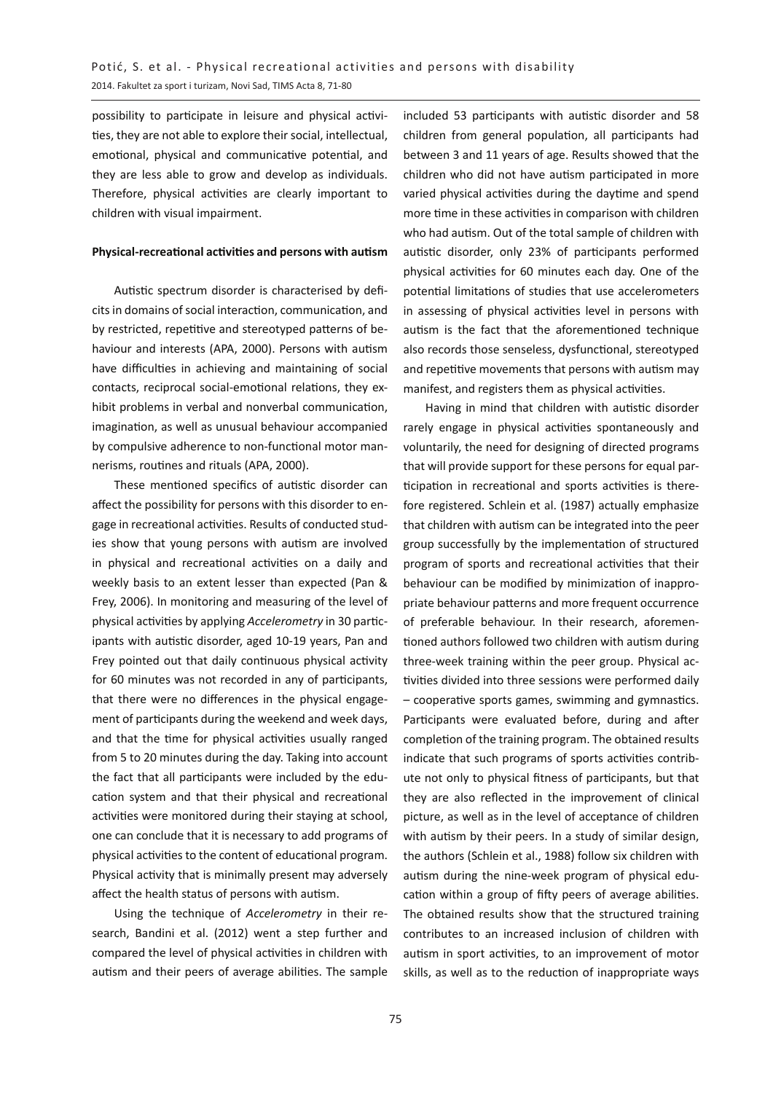possibility to participate in leisure and physical activities, they are not able to explore their social, intellectual, emotional, physical and communicative potential, and they are less able to grow and develop as individuals. Therefore, physical activities are clearly important to children with visual impairment.

#### **Physical-recreational activities and persons with autism**

Autistic spectrum disorder is characterised by deficits in domains of social interaction, communication, and by restricted, repetitive and stereotyped patterns of behaviour and interests (APA, 2000). Persons with autism have difficulties in achieving and maintaining of social contacts, reciprocal social-emotional relations, they exhibit problems in verbal and nonverbal communication, imagination, as well as unusual behaviour accompanied by compulsive adherence to non-functional motor mannerisms, routines and rituals (APA, 2000).

These mentioned specifics of autistic disorder can affect the possibility for persons with this disorder to engage in recreational activities. Results of conducted studies show that young persons with autism are involved in physical and recreational activities on a daily and weekly basis to an extent lesser than expected (Pan & Frey, 2006). In monitoring and measuring of the level of physical activities by applying *Accelerometry* in 30 participants with autistic disorder, aged 10-19 years, Pan and Frey pointed out that daily continuous physical activity for 60 minutes was not recorded in any of participants, that there were no differences in the physical engagement of participants during the weekend and week days, and that the time for physical activities usually ranged from 5 to 20 minutes during the day. Taking into account the fact that all participants were included by the education system and that their physical and recreational activities were monitored during their staying at school, one can conclude that it is necessary to add programs of physical activities to the content of educational program. Physical activity that is minimally present may adversely affect the health status of persons with autism.

Using the technique of *Accelerometry* in their research, Bandini et al. (2012) went a step further and compared the level of physical activities in children with autism and their peers of average abilities. The sample included 53 participants with autistic disorder and 58 children from general population, all participants had between 3 and 11 years of age. Results showed that the children who did not have autism participated in more varied physical activities during the daytime and spend more time in these activities in comparison with children who had autism. Out of the total sample of children with autistic disorder, only 23% of participants performed physical activities for 60 minutes each day. One of the potential limitations of studies that use accelerometers in assessing of physical activities level in persons with autism is the fact that the aforementioned technique also records those senseless, dysfunctional, stereotyped and repetitive movements that persons with autism may manifest, and registers them as physical activities.

Having in mind that children with autistic disorder rarely engage in physical activities spontaneously and voluntarily, the need for designing of directed programs that will provide support for these persons for equal participation in recreational and sports activities is therefore registered. Schlein et al. (1987) actually emphasize that children with autism can be integrated into the peer group successfully by the implementation of structured program of sports and recreational activities that their behaviour can be modified by minimization of inappropriate behaviour patterns and more frequent occurrence of preferable behaviour. In their research, aforementioned authors followed two children with autism during three-week training within the peer group. Physical activities divided into three sessions were performed daily – cooperative sports games, swimming and gymnastics. Participants were evaluated before, during and after completion of the training program. The obtained results indicate that such programs of sports activities contribute not only to physical fitness of participants, but that they are also reflected in the improvement of clinical picture, as well as in the level of acceptance of children with autism by their peers. In a study of similar design, the authors (Schlein et al., 1988) follow six children with autism during the nine-week program of physical education within a group of fifty peers of average abilities. The obtained results show that the structured training contributes to an increased inclusion of children with autism in sport activities, to an improvement of motor skills, as well as to the reduction of inappropriate ways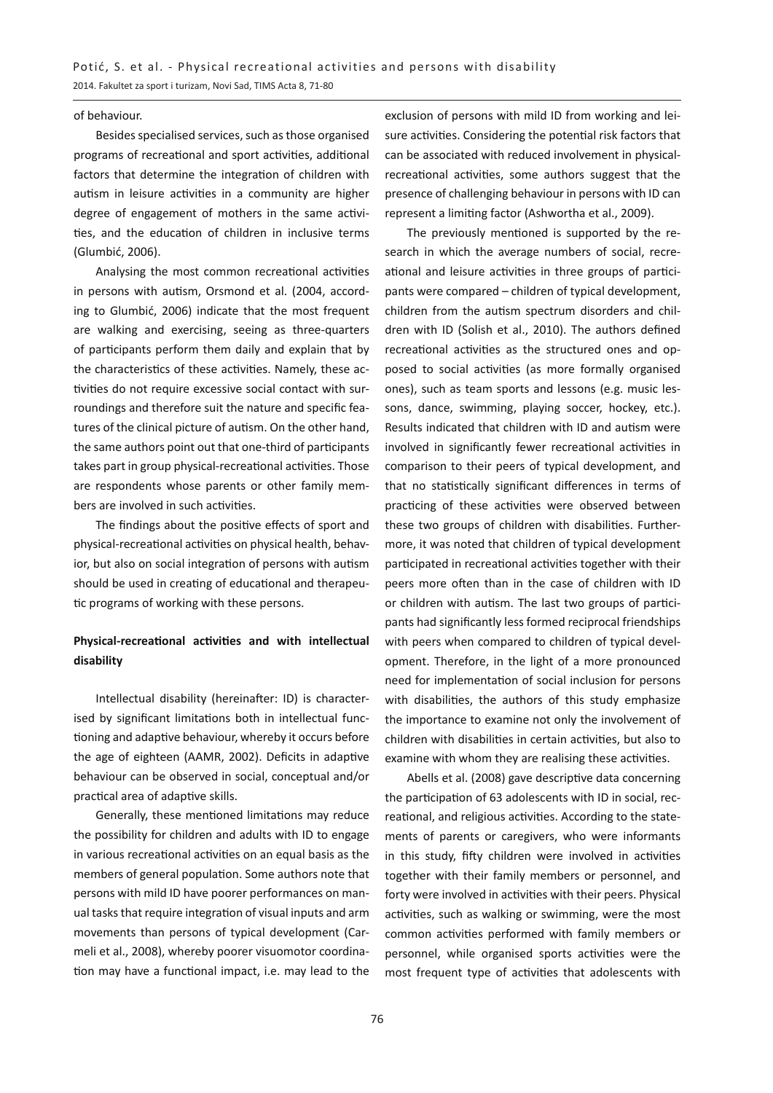#### of behaviour.

Besides specialised services, such as those organised programs of recreational and sport activities, additional factors that determine the integration of children with autism in leisure activities in a community are higher degree of engagement of mothers in the same activities, and the education of children in inclusive terms (Glumbić, 2006).

Analysing the most common recreational activities in persons with autism, Orsmond et al. (2004, according to Glumbić, 2006) indicate that the most frequent are walking and exercising, seeing as three-quarters of participants perform them daily and explain that by the characteristics of these activities. Namely, these activities do not require excessive social contact with surroundings and therefore suit the nature and specific features of the clinical picture of autism. On the other hand, the same authors point out that one-third of participants takes part in group physical-recreational activities. Those are respondents whose parents or other family members are involved in such activities.

The findings about the positive effects of sport and physical-recreational activities on physical health, behavior, but also on social integration of persons with autism should be used in creating of educational and therapeutic programs of working with these persons.

## **Physical-recreational activities and with intellectual disability**

Intellectual disability (hereinafter: ID) is characterised by significant limitations both in intellectual functioning and adaptive behaviour, whereby it occurs before the age of eighteen (AAMR, 2002). Deficits in adaptive behaviour can be observed in social, conceptual and/or practical area of adaptive skills.

Generally, these mentioned limitations may reduce the possibility for children and adults with ID to engage in various recreational activities on an equal basis as the members of general population. Some authors note that persons with mild ID have poorer performances on manual tasks that require integration of visual inputs and arm movements than persons of typical development (Carmeli et al., 2008), whereby poorer visuomotor coordination may have a functional impact, i.e. may lead to the

exclusion of persons with mild ID from working and leisure activities. Considering the potential risk factors that can be associated with reduced involvement in physicalrecreational activities, some authors suggest that the presence of challenging behaviour in persons with ID can represent a limiting factor (Ashwortha et al., 2009).

The previously mentioned is supported by the research in which the average numbers of social, recreational and leisure activities in three groups of participants were compared – children of typical development, children from the autism spectrum disorders and children with ID (Solish et al., 2010). The authors defined recreational activities as the structured ones and opposed to social activities (as more formally organised ones), such as team sports and lessons (e.g. music lessons, dance, swimming, playing soccer, hockey, etc.). Results indicated that children with ID and autism were involved in significantly fewer recreational activities in comparison to their peers of typical development, and that no statistically significant differences in terms of practicing of these activities were observed between these two groups of children with disabilities. Furthermore, it was noted that children of typical development participated in recreational activities together with their peers more often than in the case of children with ID or children with autism. The last two groups of participants had significantly less formed reciprocal friendships with peers when compared to children of typical development. Therefore, in the light of a more pronounced need for implementation of social inclusion for persons with disabilities, the authors of this study emphasize the importance to examine not only the involvement of children with disabilities in certain activities, but also to examine with whom they are realising these activities.

Abells et al. (2008) gave descriptive data concerning the participation of 63 adolescents with ID in social, recreational, and religious activities. According to the statements of parents or caregivers, who were informants in this study, fifty children were involved in activities together with their family members or personnel, and forty were involved in activities with their peers. Physical activities, such as walking or swimming, were the most common activities performed with family members or personnel, while organised sports activities were the most frequent type of activities that adolescents with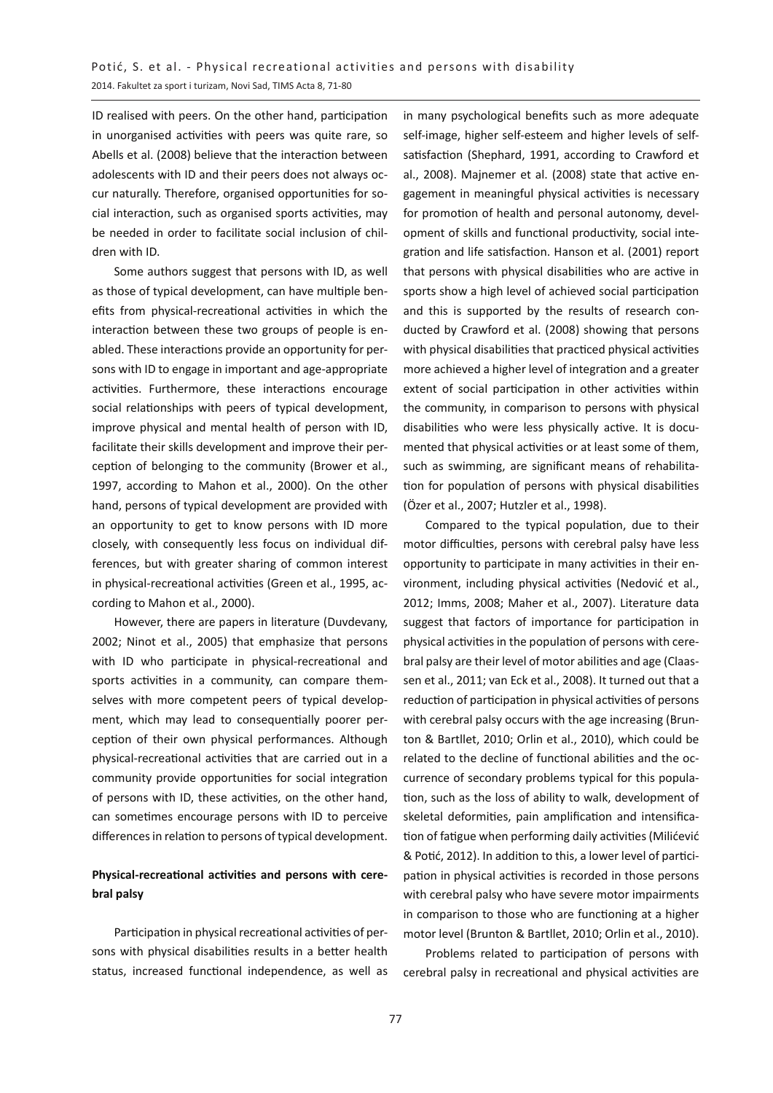ID realised with peers. On the other hand, participation in unorganised activities with peers was quite rare, so Abells et al. (2008) believe that the interaction between adolescents with ID and their peers does not always occur naturally. Therefore, organised opportunities for social interaction, such as organised sports activities, may be needed in order to facilitate social inclusion of children with ID.

Some authors suggest that persons with ID, as well as those of typical development, can have multiple benefits from physical-recreational activities in which the interaction between these two groups of people is enabled. These interactions provide an opportunity for persons with ID to engage in important and age-appropriate activities. Furthermore, these interactions encourage social relationships with peers of typical development, improve physical and mental health of person with ID, facilitate their skills development and improve their perception of belonging to the community (Brower et al., 1997, according to Mahon et al., 2000). On the other hand, persons of typical development are provided with an opportunity to get to know persons with ID more closely, with consequently less focus on individual differences, but with greater sharing of common interest in physical-recreational activities (Green et al., 1995, according to Mahon et al., 2000).

However, there are papers in literature (Duvdevany, 2002; Ninot et al., 2005) that emphasize that persons with ID who participate in physical-recreational and sports activities in a community, can compare themselves with more competent peers of typical development, which may lead to consequentially poorer perception of their own physical performances. Although physical-recreational activities that are carried out in a community provide opportunities for social integration of persons with ID, these activities, on the other hand, can sometimes encourage persons with ID to perceive differences in relation to persons of typical development.

## **Physical-recreational activities and persons with cerebral palsy**

Participation in physical recreational activities of persons with physical disabilities results in a better health status, increased functional independence, as well as in many psychological benefits such as more adequate self-image, higher self-esteem and higher levels of selfsatisfaction (Shephard, 1991, according to Crawford et al., 2008). Majnemer et al. (2008) state that active engagement in meaningful physical activities is necessary for promotion of health and personal autonomy, development of skills and functional productivity, social integration and life satisfaction. Hanson et al. (2001) report that persons with physical disabilities who are active in sports show a high level of achieved social participation and this is supported by the results of research conducted by Crawford et al. (2008) showing that persons with physical disabilities that practiced physical activities more achieved a higher level of integration and a greater extent of social participation in other activities within the community, in comparison to persons with physical disabilities who were less physically active. It is documented that physical activities or at least some of them, such as swimming, are significant means of rehabilitation for population of persons with physical disabilities (Özer et al., 2007; Hutzler et al., 1998).

Compared to the typical population, due to their motor difficulties, persons with cerebral palsy have less opportunity to participate in many activities in their environment, including physical activities (Nedović et al., 2012; Imms, 2008; Maher et al., 2007). Literature data suggest that factors of importance for participation in physical activities in the population of persons with cerebral palsy are their level of motor abilities and age (Claassen et al., 2011; van Eck et al., 2008). It turned out that a reduction of participation in physical activities of persons with cerebral palsy occurs with the age increasing (Brunton & Bartllet, 2010; Orlin et al., 2010), which could be related to the decline of functional abilities and the occurrence of secondary problems typical for this population, such as the loss of ability to walk, development of skeletal deformities, pain amplification and intensification of fatigue when performing daily activities (Milićević & Potić, 2012). In addition to this, a lower level of participation in physical activities is recorded in those persons with cerebral palsy who have severe motor impairments in comparison to those who are functioning at a higher motor level (Brunton & Bartllet, 2010; Orlin et al., 2010).

Problems related to participation of persons with cerebral palsy in recreational and physical activities are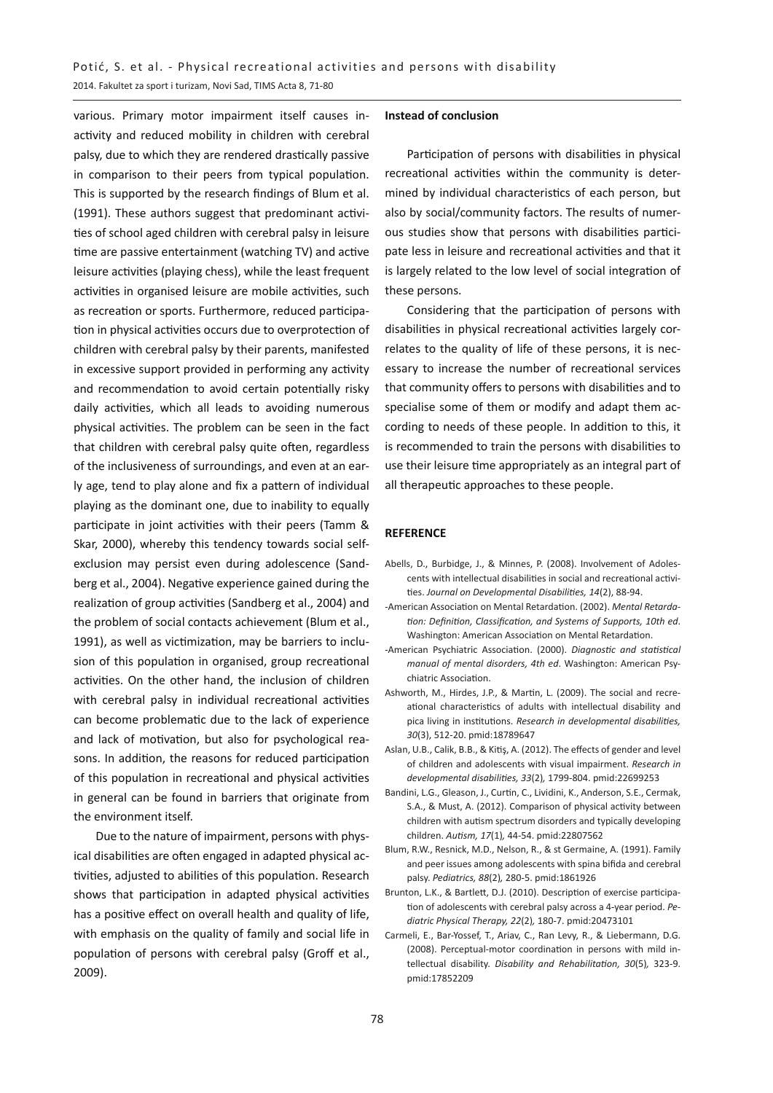various. Primary motor impairment itself causes inactivity and reduced mobility in children with cerebral palsy, due to which they are rendered drastically passive in comparison to their peers from typical population. This is supported by the research findings of Blum et al. (1991). These authors suggest that predominant activities of school aged children with cerebral palsy in leisure time are passive entertainment (watching TV) and active leisure activities (playing chess), while the least frequent activities in organised leisure are mobile activities, such as recreation or sports. Furthermore, reduced participation in physical activities occurs due to overprotection of children with cerebral palsy by their parents, manifested in excessive support provided in performing any activity and recommendation to avoid certain potentially risky daily activities, which all leads to avoiding numerous physical activities. The problem can be seen in the fact that children with cerebral palsy quite often, regardless of the inclusiveness of surroundings, and even at an early age, tend to play alone and fix a pattern of individual playing as the dominant one, due to inability to equally participate in joint activities with their peers (Tamm & Skar, 2000), whereby this tendency towards social selfexclusion may persist even during adolescence (Sandberg et al., 2004). Negative experience gained during the realization of group activities (Sandberg et al., 2004) and the problem of social contacts achievement (Blum et al., 1991), as well as victimization, may be barriers to inclusion of this population in organised, group recreational activities. On the other hand, the inclusion of children with cerebral palsy in individual recreational activities can become problematic due to the lack of experience and lack of motivation, but also for psychological reasons. In addition, the reasons for reduced participation of this population in recreational and physical activities in general can be found in barriers that originate from the environment itself.

Due to the nature of impairment, persons with physical disabilities are often engaged in adapted physical activities, adjusted to abilities of this population. Research shows that participation in adapted physical activities has a positive effect on overall health and quality of life, with emphasis on the quality of family and social life in population of persons with cerebral palsy (Groff et al., 2009).

#### **Instead of conclusion**

Participation of persons with disabilities in physical recreational activities within the community is determined by individual characteristics of each person, but also by social/community factors. The results of numerous studies show that persons with disabilities participate less in leisure and recreational activities and that it is largely related to the low level of social integration of these persons.

Considering that the participation of persons with disabilities in physical recreational activities largely correlates to the quality of life of these persons, it is necessary to increase the number of recreational services that community offers to persons with disabilities and to specialise some of them or modify and adapt them according to needs of these people. In addition to this, it is recommended to train the persons with disabilities to use their leisure time appropriately as an integral part of all therapeutic approaches to these people.

#### **REFERENCE**

- Abells, D., Burbidge, J., & Minnes, P. (2008). Involvement of Adolescents with intellectual disabilities in social and recreational activities. *Journal on Developmental Disabilities, 14*(2), 88-94.
- -American Association on Mental Retardation. (2002). *Mental Retardation: Definition, Classification, and Systems of Supports, 10th ed*. Washington: American Association on Mental Retardation.
- -American Psychiatric Association. (2000). *Diagnostic and statistical manual of mental disorders, 4th ed*. Washington: American Psychiatric Association.
- Ashworth, M., Hirdes, J.P., & Martin, L. (2009). The social and recreational characteristics of adults with intellectual disability and pica living in institutions. *Research in developmental disabilities, 30*(3), 512-20. pmid:18789647
- Aslan, U.B., Calik, B.B., & Kitiş, A. (2012). The effects of gender and level of children and adolescents with visual impairment. *Research in developmental disabilities, 33*(2)*,* 1799-804. pmid:22699253
- Bandini, L.G., Gleason, J., Curtin, C., Lividini, K., Anderson, S.E., Cermak, S.A., & Must, A. (2012). Comparison of physical activity between children with autism spectrum disorders and typically developing children. *Autism, 17*(1)*,* 44-54. pmid:22807562
- Blum, R.W., Resnick, M.D., Nelson, R., & st Germaine, A. (1991). Family and peer issues among adolescents with spina bifida and cerebral palsy. *Pediatrics, 88*(2)*,* 280-5. pmid:1861926
- Brunton, L.K., & Bartlett, D.J. (2010). Description of exercise participation of adolescents with cerebral palsy across a 4-year period. *Pediatric Physical Therapy, 22*(2)*,* 180-7. pmid:20473101
- Carmeli, E., Bar-Yossef, T., Ariav, C., Ran Levy, R., & Liebermann, D.G. (2008). Perceptual-motor coordination in persons with mild intellectual disability. *Disability and Rehabilitation, 30*(5)*,* 323-9. pmid:17852209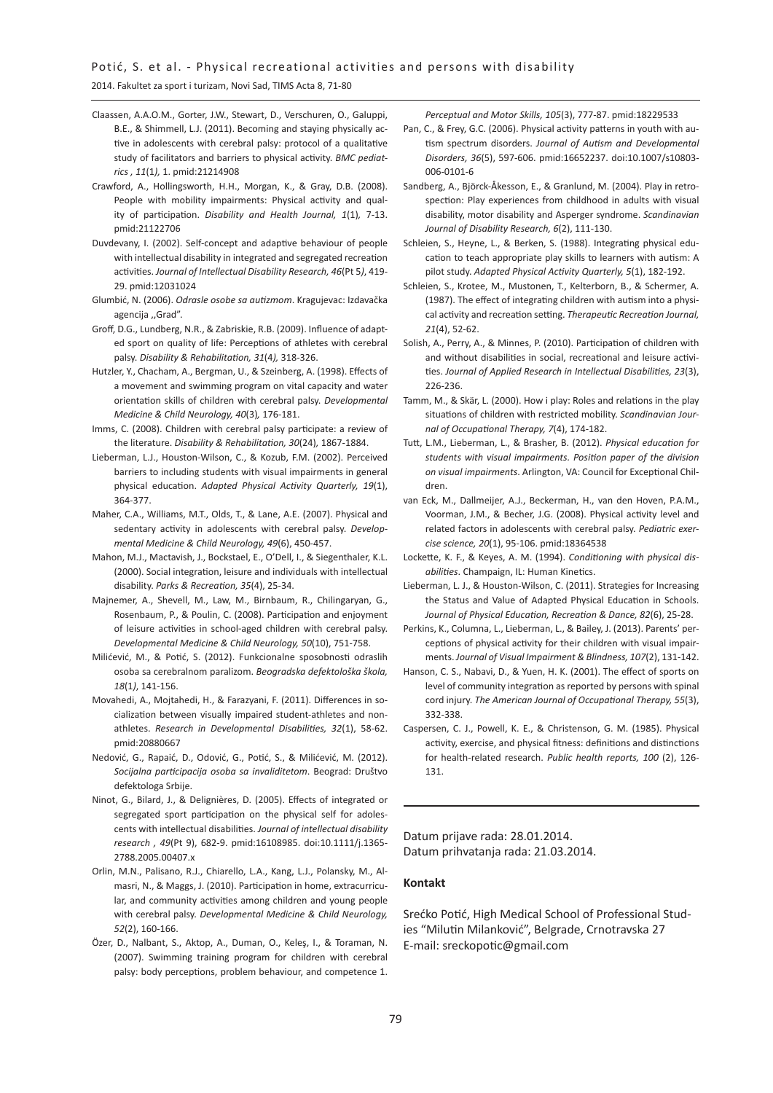#### 2014. Fakultet za sport i turizam, Novi Sad, TIMS Acta 8, 71-80

- Claassen, A.A.O.M., Gorter, J.W., Stewart, D., Verschuren, O., Galuppi, B.E., & Shimmell, L.J. (2011). Becoming and staying physically active in adolescents with cerebral palsy: protocol of a qualitative study of facilitators and barriers to physical activity. *BMC pediatrics , 11*(1*),* 1. pmid:21214908
- Crawford, A., Hollingsworth, H.H., Morgan, K., & Gray, D.B. (2008). People with mobility impairments: Physical activity and quality of participation. *Disability and Health Journal, 1*(1)*,* 7-13. pmid:21122706
- Duvdevany, I. (2002). Self-concept and adaptive behaviour of people with intellectual disability in integrated and segregated recreation activities. *Journal of Intellectual Disability Research, 46*(Pt 5*)*, 419- 29. pmid:12031024
- Glumbić, N. (2006). *Odrasle osobe sa autizmom*. Kragujevac: Izdavačka agencija ,,Grad".
- Groff, D.G., Lundberg, N.R., & Zabriskie, R.B. (2009). Influence of adapted sport on quality of life: Perceptions of athletes with cerebral palsy. *Disability & Rehabilitation, 31*(4*),* 318-326.
- Hutzler, Y., Chacham, A., Bergman, U., & Szeinberg, A. (1998). Effects of a movement and swimming program on vital capacity and water orientation skills of children with cerebral palsy. *Developmental Medicine & Child Neurology, 40*(3)*,* 176-181.
- Imms, C. (2008). Children with cerebral palsy participate: a review of the literature. *Disability & Rehabilitation, 30*(24)*,* 1867-1884.
- Lieberman, L.J., Houston-Wilson, C., & Kozub, F.M. (2002). Perceived barriers to including students with visual impairments in general physical education. *Adapted Physical Activity Quarterly, 19*(1), 364-377.
- Maher, C.A., Williams, M.T., Olds, T., & Lane, A.E. (2007). Physical and sedentary activity in adolescents with cerebral palsy. *Developmental Medicine & Child Neurology, 49*(6), 450-457.
- Mahon, M.J., Mactavish, J., Bockstael, E., O'Dell, I., & Siegenthaler, K.L. (2000). Social integration, leisure and individuals with intellectual disability. *Parks & Recreation, 35*(4), 25-34.
- Majnemer, A., Shevell, M., Law, M., Birnbaum, R., Chilingaryan, G., Rosenbaum, P., & Poulin, C. (2008). Participation and enjoyment of leisure activities in school‐aged children with cerebral palsy. *Developmental Medicine & Child Neurology, 50*(10), 751-758.
- Milićević, M., & Potić, S. (2012). Funkcionalne sposobnosti odraslih osoba sa cerebralnom paralizom. *Beogradska defektološka škola, 18*(1*)*, 141-156.
- Movahedi, A., Mojtahedi, H., & Farazyani, F. (2011). Differences in socialization between visually impaired student-athletes and nonathletes. *Research in Developmental Disabilities, 32*(1), 58-62. pmid:20880667
- Nedović, G., Rapaić, D., Odović, G., Potić, S., & Milićević, M. (2012). *Socijalna participacija osoba sa invaliditetom*. Beograd: Društvo defektologa Srbije.
- Ninot, G., Bilard, J., & Delignières, D. (2005). Effects of integrated or segregated sport participation on the physical self for adolescents with intellectual disabilities. *Journal of intellectual disability research , 49*(Pt 9), 682-9. pmid:16108985. doi:10.1111/j.1365- 2788.2005.00407.x
- Orlin, M.N., Palisano, R.J., Chiarello, L.A., Kang, L.J., Polansky, M., Almasri, N., & Maggs, J. (2010). Participation in home, extracurricular, and community activities among children and young people with cerebral palsy. *Developmental Medicine & Child Neurology, 52*(2), 160-166.
- Özer, D., Nalbant, S., Aktop, A., Duman, O., Keleş, I., & Toraman, N. (2007). Swimming training program for children with cerebral palsy: body perceptions, problem behaviour, and competence 1.

*Perceptual and Motor Skills, 105*(3), 777-87. pmid:18229533

- Pan, C., & Frey, G.C. (2006). Physical activity patterns in youth with autism spectrum disorders. *Journal of Autism and Developmental Disorders, 36*(5), 597-606. pmid:16652237. doi:10.1007/s10803- 006-0101-6
- Sandberg, A., Björck-Åkesson, E., & Granlund, M. (2004). Play in retrospection: Play experiences from childhood in adults with visual disability, motor disability and Asperger syndrome. *Scandinavian Journal of Disability Research, 6*(2), 111-130.
- Schleien, S., Heyne, L., & Berken, S. (1988). Integrating physical education to teach appropriate play skills to learners with autism: A pilot study. *Adapted Physical Activity Quarterly, 5*(1), 182-192.
- Schleien, S., Krotee, M., Mustonen, T., Kelterborn, B., & Schermer, A. (1987). The effect of integrating children with autism into a physical activity and recreation setting. *Therapeutic Recreation Journal, 21*(4), 52-62.
- Solish, A., Perry, A., & Minnes, P. (2010). Participation of children with and without disabilities in social, recreational and leisure activities. *Journal of Applied Research in Intellectual Disabilities, 23*(3), 226-236.
- Tamm, M., & Skär, L. (2000). How i play: Roles and relations in the play situations of children with restricted mobility. *Scandinavian Journal of Occupational Therapy, 7*(4), 174-182.
- Tutt, L.M., Lieberman, L., & Brasher, B. (2012). *Physical education for students with visual impairments. Position paper of the division on visual impairments*. Arlington, VA: Council for Exceptional Children.
- van Eck, M., Dallmeijer, A.J., Beckerman, H., van den Hoven, P.A.M., Voorman, J.M., & Becher, J.G. (2008). Physical activity level and related factors in adolescents with cerebral palsy. *Pediatric exercise science, 20*(1), 95-106. pmid:18364538
- Lockette, K. F., & Keyes, A. M. (1994). *Conditioning with physical disabilities*. Champaign, IL: Human Kinetics.
- Lieberman, L. J., & Houston-Wilson, C. (2011). Strategies for Increasing the Status and Value of Adapted Physical Education in Schools. *Journal of Physical Education, Recreation & Dance, 82*(6), 25-28.
- Perkins, K., Columna, L., Lieberman, L., & Bailey, J. (2013). Parents' perceptions of physical activity for their children with visual impairments. *Journal of Visual Impairment & Blindness, 107*(2), 131-142.
- Hanson, C. S., Nabavi, D., & Yuen, H. K. (2001). The effect of sports on level of community integration as reported by persons with spinal cord injury. *The American Journal of Occupational Therapy, 55*(3), 332-338.
- Caspersen, C. J., Powell, K. E., & Christenson, G. M. (1985). Physical activity, exercise, and physical fitness: definitions and distinctions for health-related research. *Public health reports, 100* (2), 126- 131.

Datum prijave rada: 28.01.2014. Datum prihvatanja rada: 21.03.2014.

#### **Kontakt**

Srećko Potić, High Medical School of Professional Studies "Milutin Milanković", Belgrade, Crnotravska 27 E-mail: sreckopotic@gmail.com